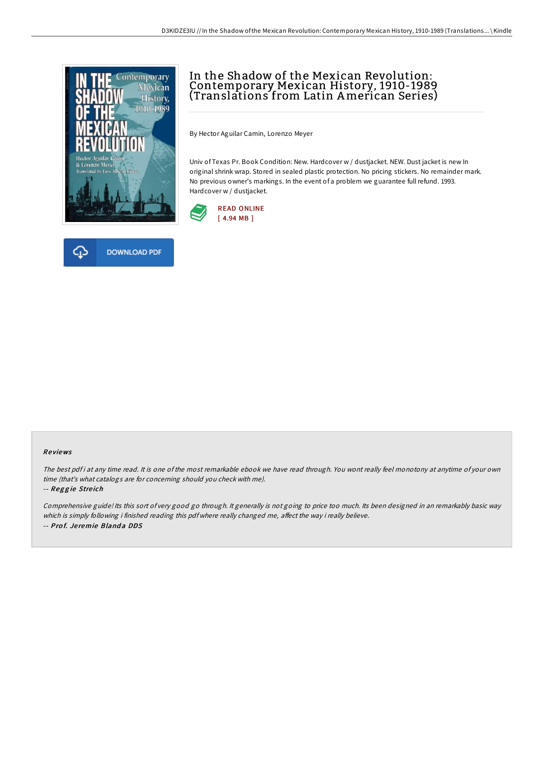



# In the Shadow of the Mexican Revolution: Contemporary Mexican History, 1910-1989 (Translations from Latin American Series)

By Hector Aguilar Camin, Lorenzo Meyer

Univ of Texas Pr. Book Condition: New. Hardcover w / dustjacket. NEW. Dust jacket is new In original shrink wrap. Stored in sealed plastic protection. No pricing stickers. No remainder mark. No previous owner's markings. In the event of a problem we guarantee full refund. 1993. Hardcover w / dustjacket.



#### Re views

The best pdf i at any time read. It is one of the most remarkable ebook we have read through. You wont really feel monotony at anytime of your own time (that's what catalogs are for concerning should you check with me).

#### -- Reggie Streich

Comprehensive guide! Its this sort of very good go through. It generally is not going to price too much. Its been designed in an remarkably basic way which is simply following i finished reading this pdf where really changed me, affect the way i really believe. -- Prof. Jeremie Blanda DDS